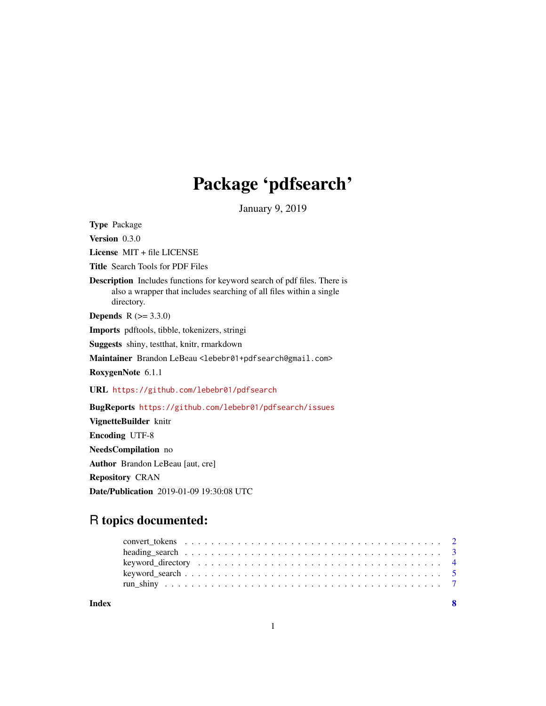## Package 'pdfsearch'

January 9, 2019

<span id="page-0-0"></span>Type Package Version 0.3.0 License MIT + file LICENSE Title Search Tools for PDF Files Description Includes functions for keyword search of pdf files. There is also a wrapper that includes searching of all files within a single directory. **Depends**  $R (= 3.3.0)$ Imports pdftools, tibble, tokenizers, stringi Suggests shiny, testthat, knitr, rmarkdown Maintainer Brandon LeBeau <lebebr01+pdfsearch@gmail.com> RoxygenNote 6.1.1 URL <https://github.com/lebebr01/pdfsearch> BugReports <https://github.com/lebebr01/pdfsearch/issues> VignetteBuilder knitr Encoding UTF-8 NeedsCompilation no

Author Brandon LeBeau [aut, cre] Repository CRAN Date/Publication 2019-01-09 19:30:08 UTC

### R topics documented:

| Index | $\mathbf{R}$ |  |
|-------|--------------|--|
|       |              |  |
|       |              |  |
|       |              |  |
|       |              |  |
|       |              |  |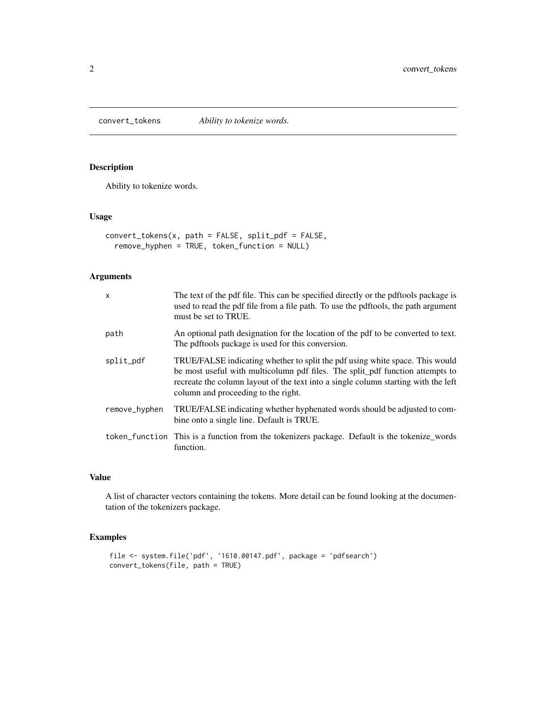<span id="page-1-1"></span><span id="page-1-0"></span>convert\_tokens *Ability to tokenize words.*

#### Description

Ability to tokenize words.

#### Usage

```
convert_tokens(x, path = FALSE, split_pdf = FALSE,
  remove_hyphen = TRUE, token_function = NULL)
```
#### Arguments

| x             | The text of the pdf file. This can be specified directly or the pdftools package is<br>used to read the pdf file from a file path. To use the pdftools, the path argument<br>must be set to TRUE.                                                                                          |
|---------------|--------------------------------------------------------------------------------------------------------------------------------------------------------------------------------------------------------------------------------------------------------------------------------------------|
| path          | An optional path designation for the location of the pdf to be converted to text.<br>The pdftools package is used for this conversion.                                                                                                                                                     |
| split_pdf     | TRUE/FALSE indicating whether to split the pdf using white space. This would<br>be most useful with multicolumn pdf files. The split_pdf function attempts to<br>recreate the column layout of the text into a single column starting with the left<br>column and proceeding to the right. |
| remove_hyphen | TRUE/FALSE indicating whether hyphenated words should be adjusted to com-<br>bine onto a single line. Default is TRUE.                                                                                                                                                                     |
|               | token function This is a function from the tokenizers package. Default is the tokenize words<br>function.                                                                                                                                                                                  |

#### Value

A list of character vectors containing the tokens. More detail can be found looking at the documentation of the tokenizers package.

#### Examples

```
file <- system.file('pdf', '1610.00147.pdf', package = 'pdfsearch')
convert_tokens(file, path = TRUE)
```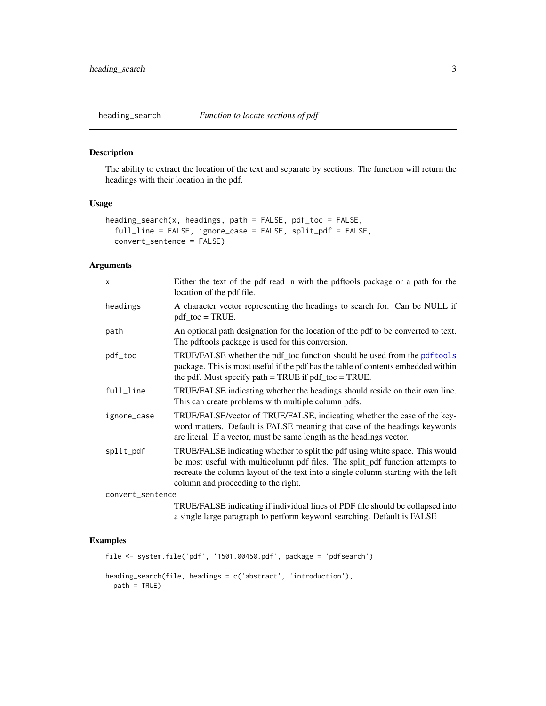<span id="page-2-1"></span><span id="page-2-0"></span>

#### Description

The ability to extract the location of the text and separate by sections. The function will return the headings with their location in the pdf.

#### Usage

```
heading_search(x, headings, path = FALSE, pdf_toc = FALSE,
  full_line = FALSE, ignore_case = FALSE, split_pdf = FALSE,
  convert_sentence = FALSE)
```
#### Arguments

| $\times$         | Either the text of the pdf read in with the pdftools package or a path for the<br>location of the pdf file.                                                                                                                                                                                |  |
|------------------|--------------------------------------------------------------------------------------------------------------------------------------------------------------------------------------------------------------------------------------------------------------------------------------------|--|
| headings         | A character vector representing the headings to search for. Can be NULL if<br>$pdf\_toc = TRUE$ .                                                                                                                                                                                          |  |
| path             | An optional path designation for the location of the pdf to be converted to text.<br>The pdftools package is used for this conversion.                                                                                                                                                     |  |
| pdf_toc          | TRUE/FALSE whether the pdf_toc function should be used from the pdf tools<br>package. This is most useful if the pdf has the table of contents embedded within<br>the pdf. Must specify path $=$ TRUE if pdf_toc $=$ TRUE.                                                                 |  |
| full_line        | TRUE/FALSE indicating whether the headings should reside on their own line.<br>This can create problems with multiple column pdfs.                                                                                                                                                         |  |
| ignore_case      | TRUE/FALSE/vector of TRUE/FALSE, indicating whether the case of the key-<br>word matters. Default is FALSE meaning that case of the headings keywords<br>are literal. If a vector, must be same length as the headings vector.                                                             |  |
| split_pdf        | TRUE/FALSE indicating whether to split the pdf using white space. This would<br>be most useful with multicolumn pdf files. The split_pdf function attempts to<br>recreate the column layout of the text into a single column starting with the left<br>column and proceeding to the right. |  |
| convert_sentence |                                                                                                                                                                                                                                                                                            |  |
|                  | TRUE/FALSE indicating if individual lines of PDF file should be collapsed into<br>a single large paragraph to perform keyword searching. Default is FALSE                                                                                                                                  |  |

#### Examples

```
file <- system.file('pdf', '1501.00450.pdf', package = 'pdfsearch')
heading_search(file, headings = c('abstract', 'introduction'),
  path = TRUE)
```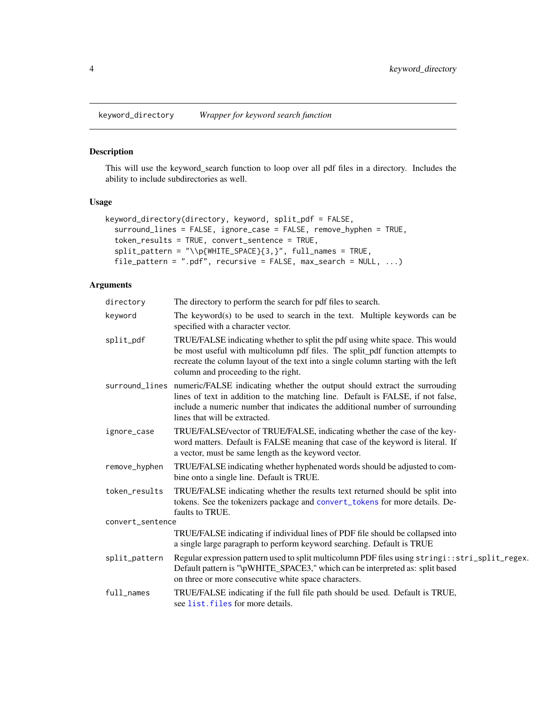<span id="page-3-0"></span>keyword\_directory *Wrapper for keyword search function*

#### Description

This will use the keyword\_search function to loop over all pdf files in a directory. Includes the ability to include subdirectories as well.

#### Usage

```
keyword_directory(directory, keyword, split_pdf = FALSE,
 surround_lines = FALSE, ignore_case = FALSE, remove_hyphen = TRUE,
  token_results = TRUE, convert_sentence = TRUE,
 split_pattern = "\\p{WHITE_SPACE}{3,}", full_names = TRUE,
 file_pattern = ".pdf", recursive = FALSE, max_search = NULL, ...)
```
#### Arguments

| directory        | The directory to perform the search for pdf files to search.                                                                                                                                                                                                                                 |  |
|------------------|----------------------------------------------------------------------------------------------------------------------------------------------------------------------------------------------------------------------------------------------------------------------------------------------|--|
| keyword          | The keyword(s) to be used to search in the text. Multiple keywords can be<br>specified with a character vector.                                                                                                                                                                              |  |
| split_pdf        | TRUE/FALSE indicating whether to split the pdf using white space. This would<br>be most useful with multicolumn pdf files. The split_pdf function attempts to<br>recreate the column layout of the text into a single column starting with the left<br>column and proceeding to the right.   |  |
|                  | surround_lines numeric/FALSE indicating whether the output should extract the surrouding<br>lines of text in addition to the matching line. Default is FALSE, if not false,<br>include a numeric number that indicates the additional number of surrounding<br>lines that will be extracted. |  |
| ignore_case      | TRUE/FALSE/vector of TRUE/FALSE, indicating whether the case of the key-<br>word matters. Default is FALSE meaning that case of the keyword is literal. If<br>a vector, must be same length as the keyword vector.                                                                           |  |
| remove_hyphen    | TRUE/FALSE indicating whether hyphenated words should be adjusted to com-<br>bine onto a single line. Default is TRUE.                                                                                                                                                                       |  |
| token_results    | TRUE/FALSE indicating whether the results text returned should be split into<br>tokens. See the tokenizers package and convert_tokens for more details. De-<br>faults to TRUE.                                                                                                               |  |
| convert_sentence |                                                                                                                                                                                                                                                                                              |  |
|                  | TRUE/FALSE indicating if individual lines of PDF file should be collapsed into<br>a single large paragraph to perform keyword searching. Default is TRUE                                                                                                                                     |  |
| split_pattern    | Regular expression pattern used to split multicolumn PDF files using stringi::stri_split_regex.<br>Default pattern is "\pWHITE_SPACE3," which can be interpreted as: split based<br>on three or more consecutive white space characters.                                                     |  |
| full_names       | TRUE/FALSE indicating if the full file path should be used. Default is TRUE,<br>see list. files for more details.                                                                                                                                                                            |  |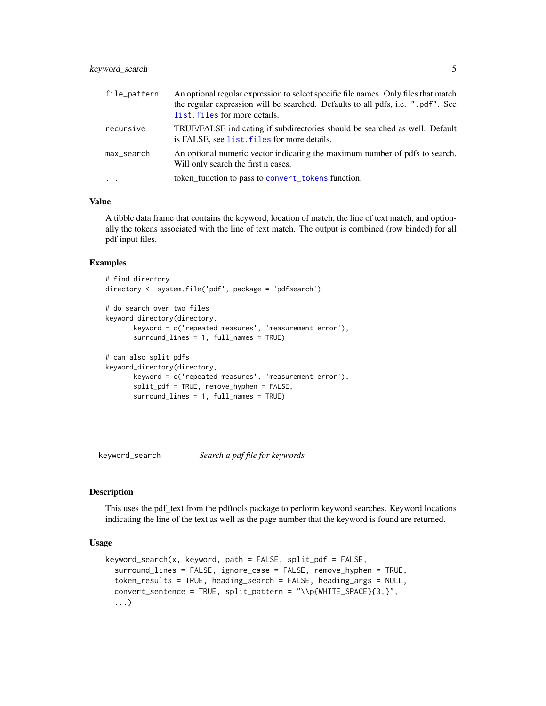#### <span id="page-4-0"></span>keyword\_search 5

| file_pattern | An optional regular expression to select specific file names. Only files that match<br>the regular expression will be searched. Defaults to all pdfs, i.e. ".pdf". See<br>list. files for more details. |
|--------------|---------------------------------------------------------------------------------------------------------------------------------------------------------------------------------------------------------|
| recursive    | TRUE/FALSE indicating if subdirectories should be searched as well. Default<br>is FALSE, see list. files for more details.                                                                              |
| max_search   | An optional numeric vector indicating the maximum number of pdfs to search.<br>Will only search the first n cases.                                                                                      |
| $\cdot$      | token_function to pass to convert_tokens function.                                                                                                                                                      |

#### Value

A tibble data frame that contains the keyword, location of match, the line of text match, and optionally the tokens associated with the line of text match. The output is combined (row binded) for all pdf input files.

#### Examples

```
# find directory
directory <- system.file('pdf', package = 'pdfsearch')
# do search over two files
keyword_directory(directory,
      keyword = c('repeated measures', 'measurement error'),
      surround_lines = 1, full_names = TRUE)
# can also split pdfs
keyword_directory(directory,
      keyword = c('repeated measures', 'measurement error'),
      split_pdf = TRUE, remove_hyphen = FALSE,
      surround_lines = 1, full_names = TRUE)
```
keyword\_search *Search a pdf file for keywords*

#### Description

This uses the pdf\_text from the pdftools package to perform keyword searches. Keyword locations indicating the line of the text as well as the page number that the keyword is found are returned.

#### Usage

```
keyword_search(x, keyword, path = FALSE, split_pdf = FALSE,
  surround_lines = FALSE, ignore_case = FALSE, remove_hyphen = TRUE,
  token_results = TRUE, heading_search = FALSE, heading_args = NULL,
  convert_sentence = TRUE, split_pattern = "\\p{WHITE_SPACE}{3,}",
  ...)
```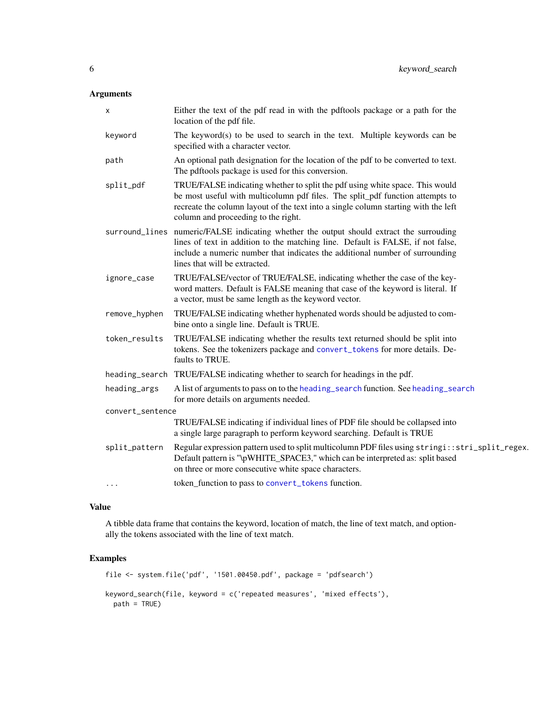#### <span id="page-5-0"></span>Arguments

|                  | X             | Either the text of the pdf read in with the pdftools package or a path for the<br>location of the pdf file.                                                                                                                                                                                  |
|------------------|---------------|----------------------------------------------------------------------------------------------------------------------------------------------------------------------------------------------------------------------------------------------------------------------------------------------|
|                  | keyword       | The keyword(s) to be used to search in the text. Multiple keywords can be<br>specified with a character vector.                                                                                                                                                                              |
|                  | path          | An optional path designation for the location of the pdf to be converted to text.<br>The pdftools package is used for this conversion.                                                                                                                                                       |
|                  | split_pdf     | TRUE/FALSE indicating whether to split the pdf using white space. This would<br>be most useful with multicolumn pdf files. The split_pdf function attempts to<br>recreate the column layout of the text into a single column starting with the left<br>column and proceeding to the right.   |
|                  |               | surround_lines numeric/FALSE indicating whether the output should extract the surrouding<br>lines of text in addition to the matching line. Default is FALSE, if not false,<br>include a numeric number that indicates the additional number of surrounding<br>lines that will be extracted. |
|                  | ignore_case   | TRUE/FALSE/vector of TRUE/FALSE, indicating whether the case of the key-<br>word matters. Default is FALSE meaning that case of the keyword is literal. If<br>a vector, must be same length as the keyword vector.                                                                           |
|                  | remove_hyphen | TRUE/FALSE indicating whether hyphenated words should be adjusted to com-<br>bine onto a single line. Default is TRUE.                                                                                                                                                                       |
|                  | token_results | TRUE/FALSE indicating whether the results text returned should be split into<br>tokens. See the tokenizers package and convert_tokens for more details. De-<br>faults to TRUE.                                                                                                               |
|                  |               | heading_search TRUE/FALSE indicating whether to search for headings in the pdf.                                                                                                                                                                                                              |
|                  | heading_args  | A list of arguments to pass on to the heading_search function. See heading_search<br>for more details on arguments needed.                                                                                                                                                                   |
| convert_sentence |               |                                                                                                                                                                                                                                                                                              |
|                  |               | TRUE/FALSE indicating if individual lines of PDF file should be collapsed into<br>a single large paragraph to perform keyword searching. Default is TRUE                                                                                                                                     |
|                  | split_pattern | Regular expression pattern used to split multicolumn PDF files using stringi::stri_split_regex.<br>Default pattern is "\pWHITE_SPACE3," which can be interpreted as: split based<br>on three or more consecutive white space characters.                                                     |
|                  | .             | token_function to pass to convert_tokens function.                                                                                                                                                                                                                                           |

#### Value

A tibble data frame that contains the keyword, location of match, the line of text match, and optionally the tokens associated with the line of text match.

#### Examples

```
file <- system.file('pdf', '1501.00450.pdf', package = 'pdfsearch')
keyword_search(file, keyword = c('repeated measures', 'mixed effects'),
 path = TRUE)
```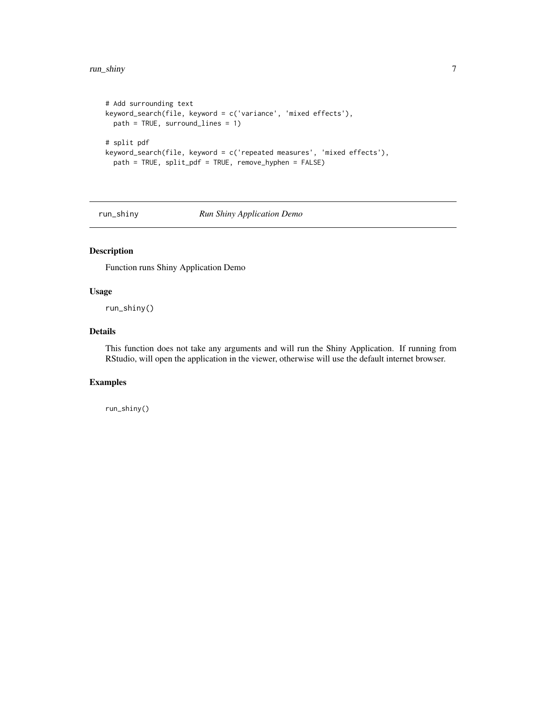```
# Add surrounding text
keyword_search(file, keyword = c('variance', 'mixed effects'),
  path = TRUE, surround_lines = 1)
# split pdf
keyword_search(file, keyword = c('repeated measures', 'mixed effects'),
  path = TRUE, split_pdf = TRUE, remove_hyphen = FALSE)
```
run\_shiny *Run Shiny Application Demo*

#### Description

Function runs Shiny Application Demo

#### Usage

run\_shiny()

#### Details

This function does not take any arguments and will run the Shiny Application. If running from RStudio, will open the application in the viewer, otherwise will use the default internet browser.

#### Examples

run\_shiny()